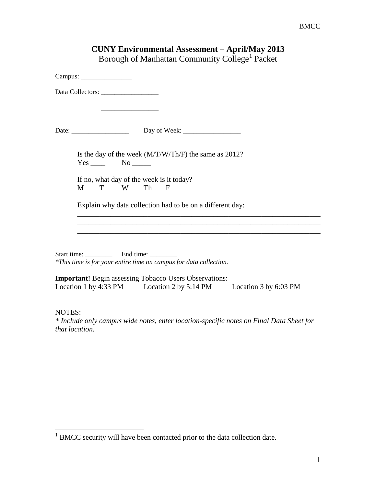| Borough of Manhattan Community College <sup>1</sup> Packet                                                                         |
|------------------------------------------------------------------------------------------------------------------------------------|
| Campus:                                                                                                                            |
|                                                                                                                                    |
|                                                                                                                                    |
| Is the day of the week $(M/T/W/Th/F)$ the same as 2012?<br>$Yes \_\_\_\_$ No $\_\_\_\_\$                                           |
| If no, what day of the week is it today?<br>Th<br>M<br>T<br>W<br>F                                                                 |
| Explain why data collection had to be on a different day:                                                                          |
|                                                                                                                                    |
| Start time: End time:<br>*This time is for your entire time on campus for data collection.                                         |
| <b>Important!</b> Begin assessing Tobacco Users Observations:<br>Location 1 by 4:33 PM Location 2 by 5:14 PM Location 3 by 6:03 PM |
| <b>NOTES:</b>                                                                                                                      |

**CUNY Environmental Assessment – April/May 2013**

*\* Include only campus wide notes, enter location-specific notes on Final Data Sheet for that location.*

<span id="page-0-0"></span> $1$  BMCC security will have been contacted prior to the data collection date.  $\overline{a}$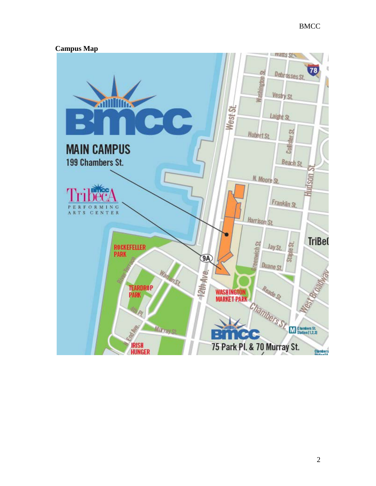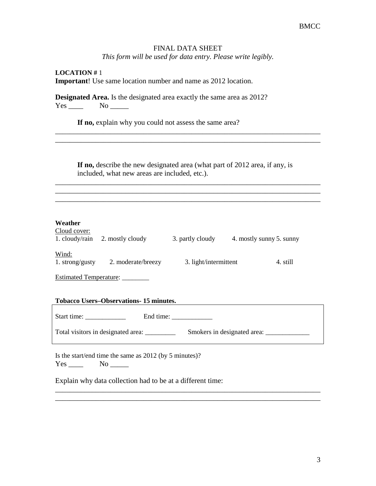#### FINAL DATA SHEET

*This form will be used for data entry. Please write legibly.*

**LOCATION #** 1 **Important**! Use same location number and name as 2012 location.

**Designated Area.** Is the designated area exactly the same area as 2012? Yes \_\_\_\_\_\_\_ No \_\_\_\_\_\_

If no, explain why you could not assess the same area?

**If no,** describe the new designated area (what part of 2012 area, if any, is included, what new areas are included, etc.).

\_\_\_\_\_\_\_\_\_\_\_\_\_\_\_\_\_\_\_\_\_\_\_\_\_\_\_\_\_\_\_\_\_\_\_\_\_\_\_\_\_\_\_\_\_\_\_\_\_\_\_\_\_\_\_\_\_\_\_\_\_\_\_\_\_\_\_\_\_\_\_\_ \_\_\_\_\_\_\_\_\_\_\_\_\_\_\_\_\_\_\_\_\_\_\_\_\_\_\_\_\_\_\_\_\_\_\_\_\_\_\_\_\_\_\_\_\_\_\_\_\_\_\_\_\_\_\_\_\_\_\_\_\_\_\_\_\_\_\_\_\_\_\_\_ \_\_\_\_\_\_\_\_\_\_\_\_\_\_\_\_\_\_\_\_\_\_\_\_\_\_\_\_\_\_\_\_\_\_\_\_\_\_\_\_\_\_\_\_\_\_\_\_\_\_\_\_\_\_\_\_\_\_\_\_\_\_\_\_\_\_\_\_\_\_\_\_

\_\_\_\_\_\_\_\_\_\_\_\_\_\_\_\_\_\_\_\_\_\_\_\_\_\_\_\_\_\_\_\_\_\_\_\_\_\_\_\_\_\_\_\_\_\_\_\_\_\_\_\_\_\_\_\_\_\_\_\_\_\_\_\_\_\_\_\_\_\_\_\_ \_\_\_\_\_\_\_\_\_\_\_\_\_\_\_\_\_\_\_\_\_\_\_\_\_\_\_\_\_\_\_\_\_\_\_\_\_\_\_\_\_\_\_\_\_\_\_\_\_\_\_\_\_\_\_\_\_\_\_\_\_\_\_\_\_\_\_\_\_\_\_\_

## **Weather**

| Cloud cover:<br>1. cloudy/rain | 2. mostly cloudy   | 3. partly cloudy      | 4. mostly sunny 5. sunny |
|--------------------------------|--------------------|-----------------------|--------------------------|
| Wind:<br>1. strong/gusty       | 2. moderate/breezy | 3. light/intermittent | 4. still                 |

Estimated Temperature: \_\_\_\_\_\_\_\_

# **Tobacco Users–Observations- 15 minutes.**

Start time: \_\_\_\_\_\_\_\_\_\_\_\_ End time: \_\_\_\_\_\_\_\_\_\_\_\_

\_\_\_\_\_\_\_\_\_\_\_\_\_\_\_\_\_\_\_\_\_\_\_\_\_\_\_\_\_\_\_\_\_\_\_\_\_\_\_\_\_\_\_\_\_\_\_\_\_\_\_\_\_\_\_\_\_\_\_\_\_\_\_\_\_\_\_\_\_\_\_\_ \_\_\_\_\_\_\_\_\_\_\_\_\_\_\_\_\_\_\_\_\_\_\_\_\_\_\_\_\_\_\_\_\_\_\_\_\_\_\_\_\_\_\_\_\_\_\_\_\_\_\_\_\_\_\_\_\_\_\_\_\_\_\_\_\_\_\_\_\_\_\_\_

Total visitors in designated area: \_\_\_\_\_\_\_\_\_ Smokers in designated area: \_\_\_\_\_\_\_\_\_\_\_\_\_

Is the start/end time the same as 2012 (by 5 minutes)? Yes \_\_\_\_\_\_ No \_\_\_\_\_\_

Explain why data collection had to be at a different time: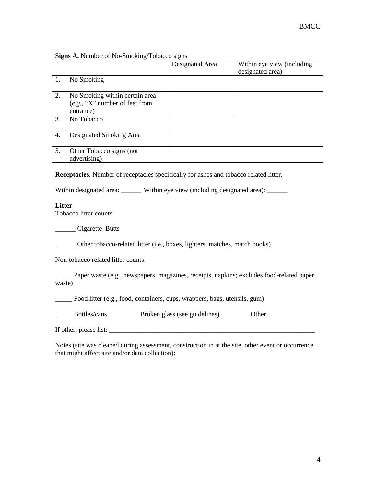|  |  |  |  | Signs A. Number of No-Smoking/Tobacco signs |  |
|--|--|--|--|---------------------------------------------|--|
|--|--|--|--|---------------------------------------------|--|

|    |                                                                                 | Designated Area | Within eye view (including<br>designated area) |
|----|---------------------------------------------------------------------------------|-----------------|------------------------------------------------|
| 1. | No Smoking                                                                      |                 |                                                |
| 2. | No Smoking within certain area<br>$(e.g., "X"$ number of feet from<br>entrance) |                 |                                                |
| 3. | No Tobacco                                                                      |                 |                                                |
| 4. | Designated Smoking Area                                                         |                 |                                                |
| 5. | Other Tobacco signs (not<br>advertising)                                        |                 |                                                |

**Receptacles.** Number of receptacles specifically for ashes and tobacco related litter.

Within designated area: \_\_\_\_\_\_ Within eye view (including designated area): \_\_\_\_\_

#### **Litter**

Tobacco litter counts:

\_\_\_\_\_\_ Cigarette Butts

\_\_\_\_\_\_ Other tobacco-related litter (i.e., boxes, lighters, matches, match books)

Non-tobacco related litter counts:

\_\_\_\_\_ Paper waste (e.g., newspapers, magazines, receipts, napkins; excludes food-related paper waste)

\_\_\_\_\_ Food litter (e.g., food, containers, cups, wrappers, bags, utensils, gum)

\_\_\_\_\_ Bottles/cans \_\_\_\_\_ Broken glass (see guidelines) \_\_\_\_\_ Other

If other, please list: \_\_\_\_\_\_\_\_\_\_\_\_\_\_\_\_\_\_\_\_\_\_\_\_\_\_\_\_\_\_\_\_\_\_\_\_\_\_\_\_\_\_\_\_\_\_\_\_\_\_\_\_\_\_\_\_\_\_\_\_\_

Notes (site was cleaned during assessment, construction in at the site, other event or occurrence that might affect site and/or data collection):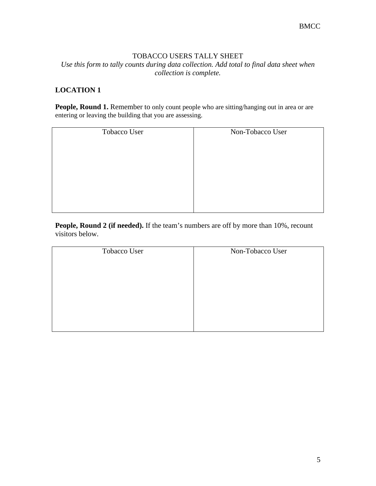### TOBACCO USERS TALLY SHEET

*Use this form to tally counts during data collection. Add total to final data sheet when collection is complete.*

# **LOCATION 1**

People, Round 1. Remember to only count people who are sitting/hanging out in area or are entering or leaving the building that you are assessing.

| Tobacco User | Non-Tobacco User |
|--------------|------------------|
|              |                  |
|              |                  |
|              |                  |
|              |                  |
|              |                  |
|              |                  |

**People, Round 2 (if needed).** If the team's numbers are off by more than 10%, recount visitors below.

| Tobacco User | Non-Tobacco User |
|--------------|------------------|
|              |                  |
|              |                  |
|              |                  |
|              |                  |
|              |                  |
|              |                  |
|              |                  |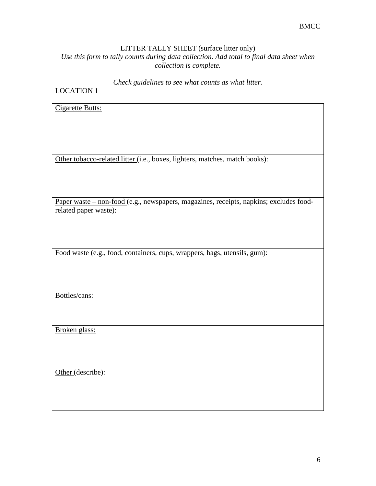# LITTER TALLY SHEET (surface litter only)

*Use this form to tally counts during data collection. Add total to final data sheet when collection is complete.*

*Check guidelines to see what counts as what litter.*

# LOCATION 1

| <b>Cigarette Butts:</b>                                                                |
|----------------------------------------------------------------------------------------|
|                                                                                        |
|                                                                                        |
|                                                                                        |
|                                                                                        |
|                                                                                        |
|                                                                                        |
|                                                                                        |
|                                                                                        |
|                                                                                        |
| Other tobacco-related litter (i.e., boxes, lighters, matches, match books):            |
|                                                                                        |
|                                                                                        |
|                                                                                        |
|                                                                                        |
|                                                                                        |
|                                                                                        |
|                                                                                        |
|                                                                                        |
| Paper waste - non-food (e.g., newspapers, magazines, receipts, napkins; excludes food- |
|                                                                                        |
| related paper waste):                                                                  |
|                                                                                        |
|                                                                                        |
|                                                                                        |
|                                                                                        |
|                                                                                        |
|                                                                                        |
|                                                                                        |
| Food waste (e.g., food, containers, cups, wrappers, bags, utensils, gum):              |
|                                                                                        |
|                                                                                        |
|                                                                                        |
|                                                                                        |
|                                                                                        |
|                                                                                        |
|                                                                                        |
|                                                                                        |
| Bottles/cans:                                                                          |
|                                                                                        |
|                                                                                        |
|                                                                                        |
|                                                                                        |
|                                                                                        |
|                                                                                        |
| Broken glass:                                                                          |
|                                                                                        |
|                                                                                        |
|                                                                                        |
|                                                                                        |
|                                                                                        |
|                                                                                        |
|                                                                                        |
|                                                                                        |
| Other (describe):                                                                      |
|                                                                                        |
|                                                                                        |
|                                                                                        |
|                                                                                        |
|                                                                                        |
|                                                                                        |
|                                                                                        |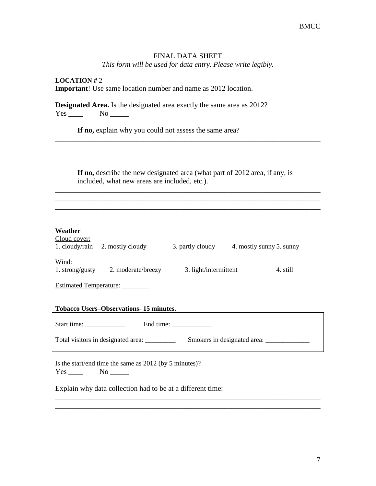## FINAL DATA SHEET

*This form will be used for data entry. Please write legibly.*

**LOCATION #** 2 **Important**! Use same location number and name as 2012 location.

**Designated Area.** Is the designated area exactly the same area as 2012?  $Yes \_\_\_\_$  No  $\_\_\_\_\$ 

If no, explain why you could not assess the same area?

**If no,** describe the new designated area (what part of 2012 area, if any, is included, what new areas are included, etc.).

\_\_\_\_\_\_\_\_\_\_\_\_\_\_\_\_\_\_\_\_\_\_\_\_\_\_\_\_\_\_\_\_\_\_\_\_\_\_\_\_\_\_\_\_\_\_\_\_\_\_\_\_\_\_\_\_\_\_\_\_\_\_\_\_\_\_\_\_\_\_\_\_ \_\_\_\_\_\_\_\_\_\_\_\_\_\_\_\_\_\_\_\_\_\_\_\_\_\_\_\_\_\_\_\_\_\_\_\_\_\_\_\_\_\_\_\_\_\_\_\_\_\_\_\_\_\_\_\_\_\_\_\_\_\_\_\_\_\_\_\_\_\_\_\_ \_\_\_\_\_\_\_\_\_\_\_\_\_\_\_\_\_\_\_\_\_\_\_\_\_\_\_\_\_\_\_\_\_\_\_\_\_\_\_\_\_\_\_\_\_\_\_\_\_\_\_\_\_\_\_\_\_\_\_\_\_\_\_\_\_\_\_\_\_\_\_\_

\_\_\_\_\_\_\_\_\_\_\_\_\_\_\_\_\_\_\_\_\_\_\_\_\_\_\_\_\_\_\_\_\_\_\_\_\_\_\_\_\_\_\_\_\_\_\_\_\_\_\_\_\_\_\_\_\_\_\_\_\_\_\_\_\_\_\_\_\_\_\_\_

| Cloud cover:<br>1. cloudy/rain | 2. mostly cloudy   | 3. partly cloudy      | 4. mostly sunny 5. sunny |          |
|--------------------------------|--------------------|-----------------------|--------------------------|----------|
| Wind:<br>1. strong/gusty       | 2. moderate/breezy | 3. light/intermittent |                          | 4. still |
| <b>Estimated Temperature:</b>  |                    |                       |                          |          |

|  |  |  |  | <b>Tobacco Users–Observations-15 minutes.</b> |
|--|--|--|--|-----------------------------------------------|
|--|--|--|--|-----------------------------------------------|

Start time: \_\_\_\_\_\_\_\_\_\_\_\_ End time: \_\_\_\_\_\_\_\_\_\_\_\_

Total visitors in designated area: \_\_\_\_\_\_\_\_\_ Smokers in designated area: \_\_\_\_\_\_\_\_\_\_\_\_\_

\_\_\_\_\_\_\_\_\_\_\_\_\_\_\_\_\_\_\_\_\_\_\_\_\_\_\_\_\_\_\_\_\_\_\_\_\_\_\_\_\_\_\_\_\_\_\_\_\_\_\_\_\_\_\_\_\_\_\_\_\_\_\_\_\_\_\_\_\_\_\_\_ \_\_\_\_\_\_\_\_\_\_\_\_\_\_\_\_\_\_\_\_\_\_\_\_\_\_\_\_\_\_\_\_\_\_\_\_\_\_\_\_\_\_\_\_\_\_\_\_\_\_\_\_\_\_\_\_\_\_\_\_\_\_\_\_\_\_\_\_\_\_\_\_

Is the start/end time the same as 2012 (by 5 minutes)?  $Yes$  No  $\qquad$ 

Explain why data collection had to be at a different time: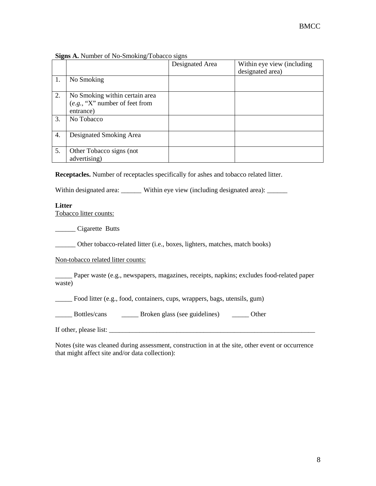| Signs A. Number of No-Smoking/Tobacco signs |  |  |  |  |  |  |
|---------------------------------------------|--|--|--|--|--|--|
|---------------------------------------------|--|--|--|--|--|--|

|    |                                                                                 | Designated Area | Within eye view (including<br>designated area) |
|----|---------------------------------------------------------------------------------|-----------------|------------------------------------------------|
| 1. | No Smoking                                                                      |                 |                                                |
| 2. | No Smoking within certain area<br>$(e.g., "X"$ number of feet from<br>entrance) |                 |                                                |
| 3. | No Tobacco                                                                      |                 |                                                |
| 4. | Designated Smoking Area                                                         |                 |                                                |
| 5. | Other Tobacco signs (not<br>advertising)                                        |                 |                                                |

**Receptacles.** Number of receptacles specifically for ashes and tobacco related litter.

Within designated area: \_\_\_\_\_\_ Within eye view (including designated area): \_\_\_\_\_

#### **Litter**

Tobacco litter counts:

\_\_\_\_\_\_ Cigarette Butts

\_\_\_\_\_\_ Other tobacco-related litter (i.e., boxes, lighters, matches, match books)

Non-tobacco related litter counts:

\_\_\_\_\_ Paper waste (e.g., newspapers, magazines, receipts, napkins; excludes food-related paper waste)

\_\_\_\_\_ Food litter (e.g., food, containers, cups, wrappers, bags, utensils, gum)

\_\_\_\_\_ Bottles/cans \_\_\_\_\_ Broken glass (see guidelines) \_\_\_\_\_ Other

If other, please list: \_\_\_\_\_\_\_\_\_\_\_\_\_\_\_\_\_\_\_\_\_\_\_\_\_\_\_\_\_\_\_\_\_\_\_\_\_\_\_\_\_\_\_\_\_\_\_\_\_\_\_\_\_\_\_\_\_\_\_\_\_

Notes (site was cleaned during assessment, construction in at the site, other event or occurrence that might affect site and/or data collection):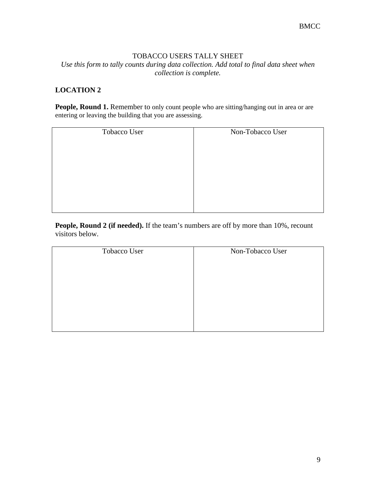### TOBACCO USERS TALLY SHEET

*Use this form to tally counts during data collection. Add total to final data sheet when collection is complete.*

# **LOCATION 2**

People, Round 1. Remember to only count people who are sitting/hanging out in area or are entering or leaving the building that you are assessing.

| Tobacco User | Non-Tobacco User |
|--------------|------------------|
|              |                  |
|              |                  |
|              |                  |
|              |                  |
|              |                  |
|              |                  |

**People, Round 2 (if needed).** If the team's numbers are off by more than 10%, recount visitors below.

| Tobacco User | Non-Tobacco User |
|--------------|------------------|
|              |                  |
|              |                  |
|              |                  |
|              |                  |
|              |                  |
|              |                  |
|              |                  |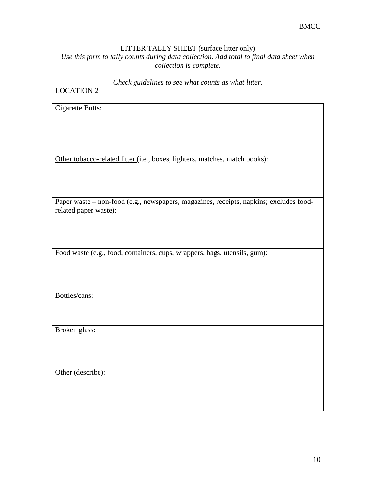# LITTER TALLY SHEET (surface litter only)

*Use this form to tally counts during data collection. Add total to final data sheet when collection is complete.*

*Check guidelines to see what counts as what litter.*

# LOCATION 2

| <b>Cigarette Butts:</b>                                                                |
|----------------------------------------------------------------------------------------|
|                                                                                        |
|                                                                                        |
|                                                                                        |
|                                                                                        |
|                                                                                        |
| Other tobacco-related litter (i.e., boxes, lighters, matches, match books):            |
|                                                                                        |
|                                                                                        |
|                                                                                        |
| Paper waste - non-food (e.g., newspapers, magazines, receipts, napkins; excludes food- |
| related paper waste):                                                                  |
|                                                                                        |
|                                                                                        |
|                                                                                        |
|                                                                                        |
| Food waste (e.g., food, containers, cups, wrappers, bags, utensils, gum):              |
|                                                                                        |
|                                                                                        |
|                                                                                        |
|                                                                                        |
| Bottles/cans:                                                                          |
|                                                                                        |
|                                                                                        |
| Broken glass:                                                                          |
|                                                                                        |
|                                                                                        |
|                                                                                        |
|                                                                                        |
| Other (describe):                                                                      |
|                                                                                        |
|                                                                                        |
|                                                                                        |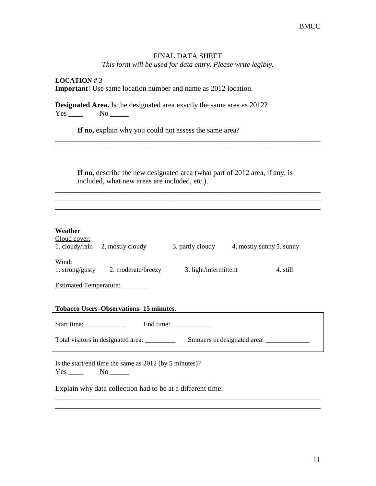# FINAL DATA SHEET

*This form will be used for data entry. Please write legibly.*

**LOCATION #** 3 **Important**! Use same location number and name as 2012 location.

**Designated Area.** Is the designated area exactly the same area as 2012? Yes \_\_\_\_\_\_ No \_\_\_\_\_\_

If no, explain why you could not assess the same area?

**If no,** describe the new designated area (what part of 2012 area, if any, is included, what new areas are included, etc.).

\_\_\_\_\_\_\_\_\_\_\_\_\_\_\_\_\_\_\_\_\_\_\_\_\_\_\_\_\_\_\_\_\_\_\_\_\_\_\_\_\_\_\_\_\_\_\_\_\_\_\_\_\_\_\_\_\_\_\_\_\_\_\_\_\_\_\_\_\_\_\_\_ \_\_\_\_\_\_\_\_\_\_\_\_\_\_\_\_\_\_\_\_\_\_\_\_\_\_\_\_\_\_\_\_\_\_\_\_\_\_\_\_\_\_\_\_\_\_\_\_\_\_\_\_\_\_\_\_\_\_\_\_\_\_\_\_\_\_\_\_\_\_\_\_ \_\_\_\_\_\_\_\_\_\_\_\_\_\_\_\_\_\_\_\_\_\_\_\_\_\_\_\_\_\_\_\_\_\_\_\_\_\_\_\_\_\_\_\_\_\_\_\_\_\_\_\_\_\_\_\_\_\_\_\_\_\_\_\_\_\_\_\_\_\_\_\_

\_\_\_\_\_\_\_\_\_\_\_\_\_\_\_\_\_\_\_\_\_\_\_\_\_\_\_\_\_\_\_\_\_\_\_\_\_\_\_\_\_\_\_\_\_\_\_\_\_\_\_\_\_\_\_\_\_\_\_\_\_\_\_\_\_\_\_\_\_\_\_\_

| Cloud cover:<br>1. cloudy/rain | 2. mostly cloudy   | 3. partly cloudy      | 4. mostly sunny 5. sunny |
|--------------------------------|--------------------|-----------------------|--------------------------|
| Wind:<br>1. strong/gusty       | 2. moderate/breezy | 3. light/intermittent | 4. still                 |
| <b>Estimated Temperature:</b>  |                    |                       |                          |

|  |  |  |  | <b>Tobacco Users–Observations-15 minutes.</b> |
|--|--|--|--|-----------------------------------------------|
|--|--|--|--|-----------------------------------------------|

Start time: \_\_\_\_\_\_\_\_\_\_\_\_ End time: \_\_\_\_\_\_\_\_\_\_\_\_

Total visitors in designated area: \_\_\_\_\_\_\_\_\_ Smokers in designated area: \_\_\_\_\_\_\_\_\_\_\_\_\_

\_\_\_\_\_\_\_\_\_\_\_\_\_\_\_\_\_\_\_\_\_\_\_\_\_\_\_\_\_\_\_\_\_\_\_\_\_\_\_\_\_\_\_\_\_\_\_\_\_\_\_\_\_\_\_\_\_\_\_\_\_\_\_\_\_\_\_\_\_\_\_\_ \_\_\_\_\_\_\_\_\_\_\_\_\_\_\_\_\_\_\_\_\_\_\_\_\_\_\_\_\_\_\_\_\_\_\_\_\_\_\_\_\_\_\_\_\_\_\_\_\_\_\_\_\_\_\_\_\_\_\_\_\_\_\_\_\_\_\_\_\_\_\_\_

Is the start/end time the same as 2012 (by 5 minutes)?  $Yes$  No  $\qquad$ 

Explain why data collection had to be at a different time: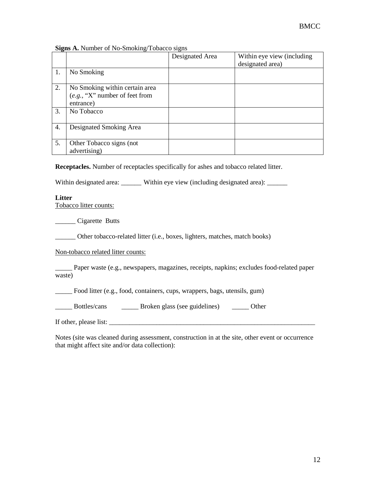#### **Signs A.** Number of No-Smoking/Tobacco signs

|    |                                                                                 | Designated Area | Within eye view (including<br>designated area) |
|----|---------------------------------------------------------------------------------|-----------------|------------------------------------------------|
| 1. | No Smoking                                                                      |                 |                                                |
| 2. | No Smoking within certain area<br>$(e.g., "X"$ number of feet from<br>entrance) |                 |                                                |
| 3. | No Tobacco                                                                      |                 |                                                |
| 4. | Designated Smoking Area                                                         |                 |                                                |
| 5. | Other Tobacco signs (not<br>advertising)                                        |                 |                                                |

**Receptacles.** Number of receptacles specifically for ashes and tobacco related litter.

Within designated area: \_\_\_\_\_\_ Within eye view (including designated area): \_\_\_\_\_

### **Litter**

Tobacco litter counts:

\_\_\_\_\_\_ Cigarette Butts

\_\_\_\_\_\_ Other tobacco-related litter (i.e., boxes, lighters, matches, match books)

Non-tobacco related litter counts:

\_\_\_\_\_ Paper waste (e.g., newspapers, magazines, receipts, napkins; excludes food-related paper waste)

Food litter (e.g., food, containers, cups, wrappers, bags, utensils, gum)

\_\_\_\_\_ Bottles/cans \_\_\_\_\_ Broken glass (see guidelines) \_\_\_\_\_ Other

If other, please list:

Notes (site was cleaned during assessment, construction in at the site, other event or occurrence that might affect site and/or data collection):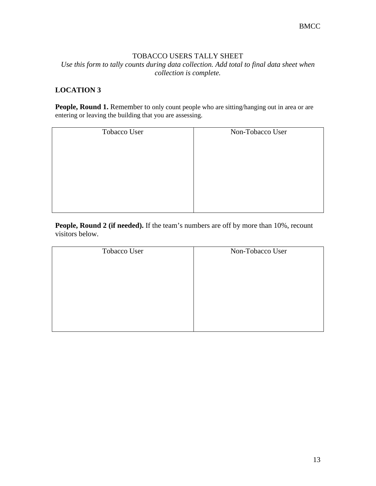### TOBACCO USERS TALLY SHEET

*Use this form to tally counts during data collection. Add total to final data sheet when collection is complete.*

# **LOCATION 3**

People, Round 1. Remember to only count people who are sitting/hanging out in area or are entering or leaving the building that you are assessing.

| Tobacco User | Non-Tobacco User |
|--------------|------------------|
|              |                  |
|              |                  |
|              |                  |
|              |                  |
|              |                  |
|              |                  |

**People, Round 2 (if needed).** If the team's numbers are off by more than 10%, recount visitors below.

| Tobacco User | Non-Tobacco User |
|--------------|------------------|
|              |                  |
|              |                  |
|              |                  |
|              |                  |
|              |                  |
|              |                  |
|              |                  |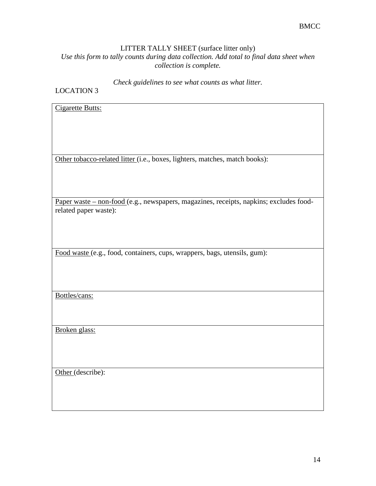# LITTER TALLY SHEET (surface litter only)

*Use this form to tally counts during data collection. Add total to final data sheet when collection is complete.*

*Check guidelines to see what counts as what litter.*

# LOCATION 3

| <b>Cigarette Butts:</b>                                                                |
|----------------------------------------------------------------------------------------|
|                                                                                        |
|                                                                                        |
|                                                                                        |
|                                                                                        |
| Other tobacco-related litter (i.e., boxes, lighters, matches, match books):            |
|                                                                                        |
|                                                                                        |
|                                                                                        |
| Paper waste - non-food (e.g., newspapers, magazines, receipts, napkins; excludes food- |
| related paper waste):                                                                  |
|                                                                                        |
|                                                                                        |
|                                                                                        |
| Food waste (e.g., food, containers, cups, wrappers, bags, utensils, gum):              |
|                                                                                        |
|                                                                                        |
|                                                                                        |
| Bottles/cans:                                                                          |
|                                                                                        |
|                                                                                        |
|                                                                                        |
| Broken glass:                                                                          |
|                                                                                        |
|                                                                                        |
|                                                                                        |
| Other (describe):                                                                      |
|                                                                                        |
|                                                                                        |
|                                                                                        |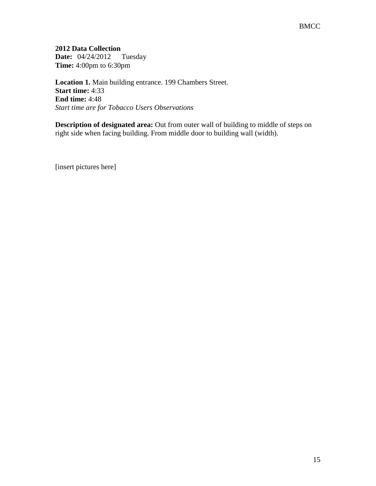**2012 Data Collection Date:** 04/24/2012 Tuesday **Time:** 4:00pm to 6:30pm

**Location 1.** Main building entrance. 199 Chambers Street. **Start time:** 4:33 **End time:** 4:48 *Start time are for Tobacco Users Observations*

**Description of designated area:** Out from outer wall of building to middle of steps on right side when facing building. From middle door to building wall (width).

[insert pictures here]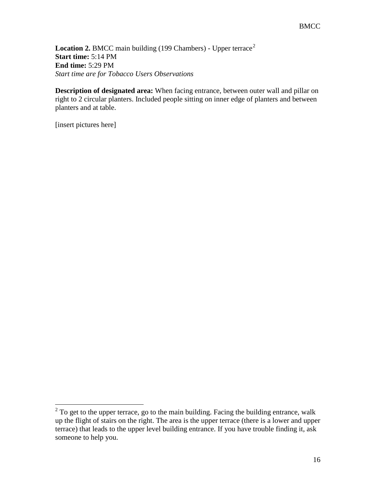Location [2](#page-15-0). BMCC main building (199 Chambers) - Upper terrace<sup>2</sup> **Start time:** 5:14 PM **End time:** 5:29 PM *Start time are for Tobacco Users Observations*

**Description of designated area:** When facing entrance, between outer wall and pillar on right to 2 circular planters. Included people sitting on inner edge of planters and between planters and at table.

[insert pictures here]

 $\overline{a}$ 

<span id="page-15-0"></span> $2^{2}$  To get to the upper terrace, go to the main building. Facing the building entrance, walk up the flight of stairs on the right. The area is the upper terrace (there is a lower and upper terrace) that leads to the upper level building entrance. If you have trouble finding it, ask someone to help you.